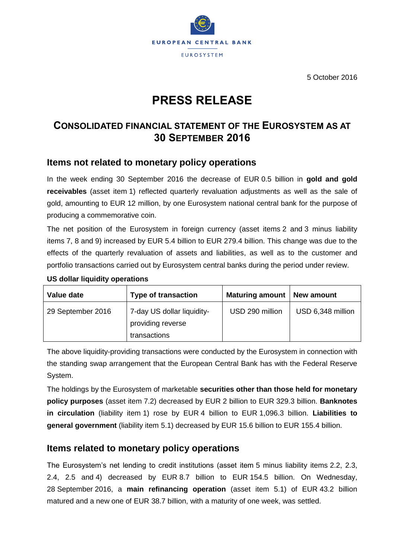

5 October 2016

# **PRESS RELEASE**

## **CONSOLIDATED FINANCIAL STATEMENT OF THE EUROSYSTEM AS AT 30 SEPTEMBER 2016**

### **Items not related to monetary policy operations**

In the week ending 30 September 2016 the decrease of EUR 0.5 billion in **gold and gold receivables** (asset item 1) reflected quarterly revaluation adjustments as well as the sale of gold, amounting to EUR 12 million, by one Eurosystem national central bank for the purpose of producing a commemorative coin.

The net position of the Eurosystem in foreign currency (asset items 2 and 3 minus liability items 7, 8 and 9) increased by EUR 5.4 billion to EUR 279.4 billion. This change was due to the effects of the quarterly revaluation of assets and liabilities, as well as to the customer and portfolio transactions carried out by Eurosystem central banks during the period under review.

| Value date        | <b>Type of transaction</b>                                      | <b>Maturing amount</b> | New amount        |
|-------------------|-----------------------------------------------------------------|------------------------|-------------------|
| 29 September 2016 | 7-day US dollar liquidity-<br>providing reverse<br>transactions | USD 290 million        | USD 6,348 million |

#### **US dollar liquidity operations**

The above liquidity-providing transactions were conducted by the Eurosystem in connection with the standing swap arrangement that the European Central Bank has with the Federal Reserve System.

The holdings by the Eurosystem of marketable **securities other than those held for monetary policy purposes** (asset item 7.2) decreased by EUR 2 billion to EUR 329.3 billion. **Banknotes in circulation** (liability item 1) rose by EUR 4 billion to EUR 1,096.3 billion. **Liabilities to general government** (liability item 5.1) decreased by EUR 15.6 billion to EUR 155.4 billion.

#### **Items related to monetary policy operations**

The Eurosystem's net lending to credit institutions (asset item 5 minus liability items 2.2, 2.3, 2.4, 2.5 and 4) decreased by EUR 8.7 billion to EUR 154.5 billion. On Wednesday, 28 September 2016, a **main refinancing operation** (asset item 5.1) of EUR 43.2 billion matured and a new one of EUR 38.7 billion, with a maturity of one week, was settled.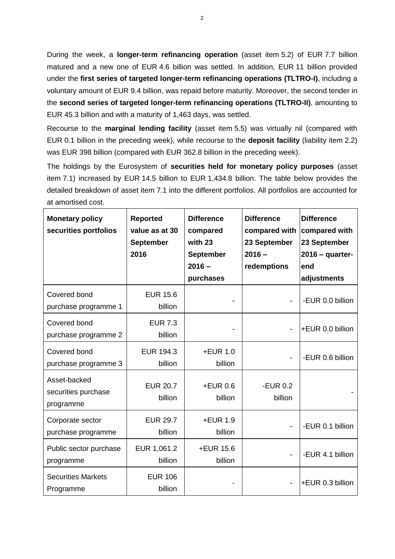During the week, a **longer-term refinancing operation** (asset item 5.2) of EUR 7.7 billion matured and a new one of EUR 4.6 billion was settled. In addition, EUR 11 billion provided under the **first series of targeted longer-term refinancing operations (TLTRO-I)**, including a voluntary amount of EUR 9.4 billion, was repaid before maturity. Moreover, the second tender in the **second series of targeted longer-term refinancing operations (TLTRO-II)**, amounting to EUR 45.3 billion and with a maturity of 1,463 days, was settled.

Recourse to the **marginal lending facility** (asset item 5.5) was virtually nil (compared with EUR 0.1 billion in the preceding week), while recourse to the **deposit facility** (liability item 2.2) was EUR 398 billion (compared with EUR 362.8 billion in the preceding week).

The holdings by the Eurosystem of **securities held for monetary policy purposes** (asset item 7.1) increased by EUR 14.5 billion to EUR 1,434.8 billion. The table below provides the detailed breakdown of asset item 7.1 into the different portfolios. All portfolios are accounted for at amortised cost.

| <b>Monetary policy</b><br>securities portfolios  | <b>Reported</b><br>value as at 30<br><b>September</b><br>2016 | <b>Difference</b><br>compared<br>with 23<br><b>September</b><br>$2016 -$<br>purchases | <b>Difference</b><br>compared with<br>23 September<br>$2016 -$<br>redemptions | <b>Difference</b><br>compared with<br>23 September<br>$2016 -$ quarter-<br>end<br>adjustments |
|--------------------------------------------------|---------------------------------------------------------------|---------------------------------------------------------------------------------------|-------------------------------------------------------------------------------|-----------------------------------------------------------------------------------------------|
| Covered bond<br>purchase programme 1             | <b>EUR 15.6</b><br>billion                                    |                                                                                       |                                                                               | -EUR 0.0 billion                                                                              |
| Covered bond<br>purchase programme 2             | <b>EUR 7.3</b><br>billion                                     |                                                                                       |                                                                               | +EUR 0.0 billion                                                                              |
| Covered bond<br>purchase programme 3             | <b>EUR 194.3</b><br>billion                                   | $+EUR$ 1.0<br>billion                                                                 |                                                                               | -EUR 0.6 billion                                                                              |
| Asset-backed<br>securities purchase<br>programme | <b>EUR 20.7</b><br>billion                                    | $+EUR$ 0.6<br>billion                                                                 | -EUR $0.2$<br>billion                                                         |                                                                                               |
| Corporate sector<br>purchase programme           | <b>EUR 29.7</b><br>billion                                    | +EUR 1.9<br>billion                                                                   |                                                                               | -EUR 0.1 billion                                                                              |
| Public sector purchase<br>programme              | EUR 1,061.2<br>billion                                        | +EUR 15.6<br>billion                                                                  |                                                                               | -EUR 4.1 billion                                                                              |
| <b>Securities Markets</b><br>Programme           | <b>EUR 106</b><br>billion                                     |                                                                                       |                                                                               | +EUR 0.3 billion                                                                              |